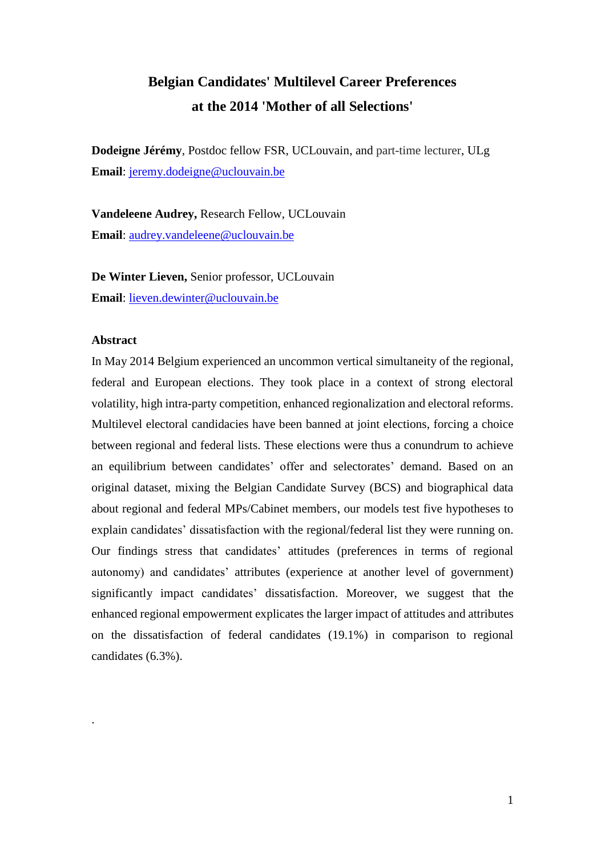### **Belgian Candidates' Multilevel Career Preferences at the 2014 'Mother of all Selections'**

**Dodeigne Jérémy**, Postdoc fellow FSR, UCLouvain, and part-time lecturer, ULg **Email**: [jeremy.dodeigne@uclouvain.be](mailto:jeremy.dodeigne@uclouvain.be)

**Vandeleene Audrey,** Research Fellow, UCLouvain **Email**: [audrey.vandeleene@uclouvain.be](mailto:audrey.vandeleene@uclouvain.be)

**De Winter Lieven,** Senior professor, UCLouvain **Email**: [lieven.dewinter@uclouvain.be](mailto:lieven.dewinter@uclouvain.be) 

#### **Abstract**

.

In May 2014 Belgium experienced an uncommon vertical simultaneity of the regional, federal and European elections. They took place in a context of strong electoral volatility, high intra-party competition, enhanced regionalization and electoral reforms. Multilevel electoral candidacies have been banned at joint elections, forcing a choice between regional and federal lists. These elections were thus a conundrum to achieve an equilibrium between candidates' offer and selectorates' demand. Based on an original dataset, mixing the Belgian Candidate Survey (BCS) and biographical data about regional and federal MPs/Cabinet members, our models test five hypotheses to explain candidates' dissatisfaction with the regional/federal list they were running on. Our findings stress that candidates' attitudes (preferences in terms of regional autonomy) and candidates' attributes (experience at another level of government) significantly impact candidates' dissatisfaction. Moreover, we suggest that the enhanced regional empowerment explicates the larger impact of attitudes and attributes on the dissatisfaction of federal candidates (19.1%) in comparison to regional candidates (6.3%).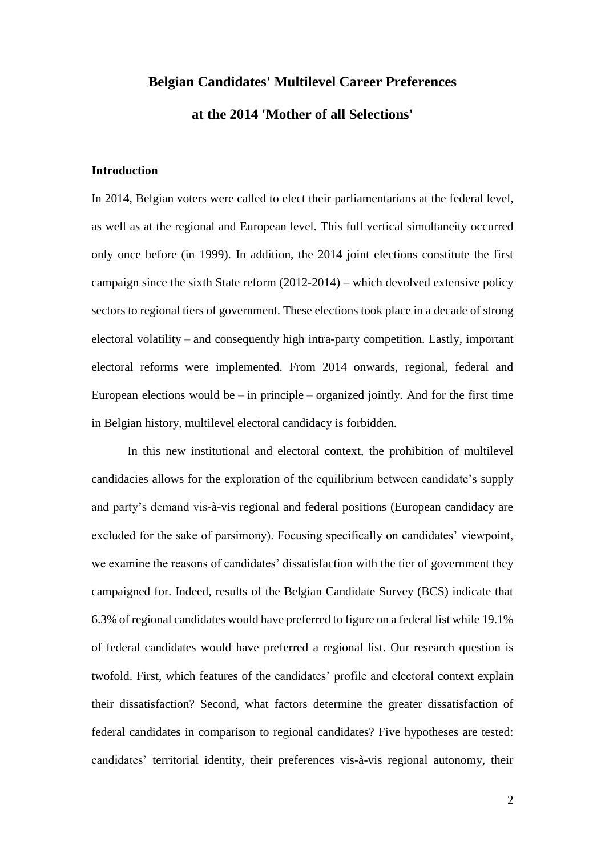## **Belgian Candidates' Multilevel Career Preferences at the 2014 'Mother of all Selections'**

#### **Introduction**

In 2014, Belgian voters were called to elect their parliamentarians at the federal level, as well as at the regional and European level. This full vertical simultaneity occurred only once before (in 1999). In addition, the 2014 joint elections constitute the first campaign since the sixth State reform (2012-2014) – which devolved extensive policy sectors to regional tiers of government. These elections took place in a decade of strong electoral volatility – and consequently high intra-party competition. Lastly, important electoral reforms were implemented. From 2014 onwards, regional, federal and European elections would be – in principle – organized jointly. And for the first time in Belgian history, multilevel electoral candidacy is forbidden.

In this new institutional and electoral context, the prohibition of multilevel candidacies allows for the exploration of the equilibrium between candidate's supply and party's demand vis-à-vis regional and federal positions (European candidacy are excluded for the sake of parsimony). Focusing specifically on candidates' viewpoint, we examine the reasons of candidates' dissatisfaction with the tier of government they campaigned for. Indeed, results of the Belgian Candidate Survey (BCS) indicate that 6.3% of regional candidates would have preferred to figure on a federal list while 19.1% of federal candidates would have preferred a regional list. Our research question is twofold. First, which features of the candidates' profile and electoral context explain their dissatisfaction? Second, what factors determine the greater dissatisfaction of federal candidates in comparison to regional candidates? Five hypotheses are tested: candidates' territorial identity, their preferences vis-à-vis regional autonomy, their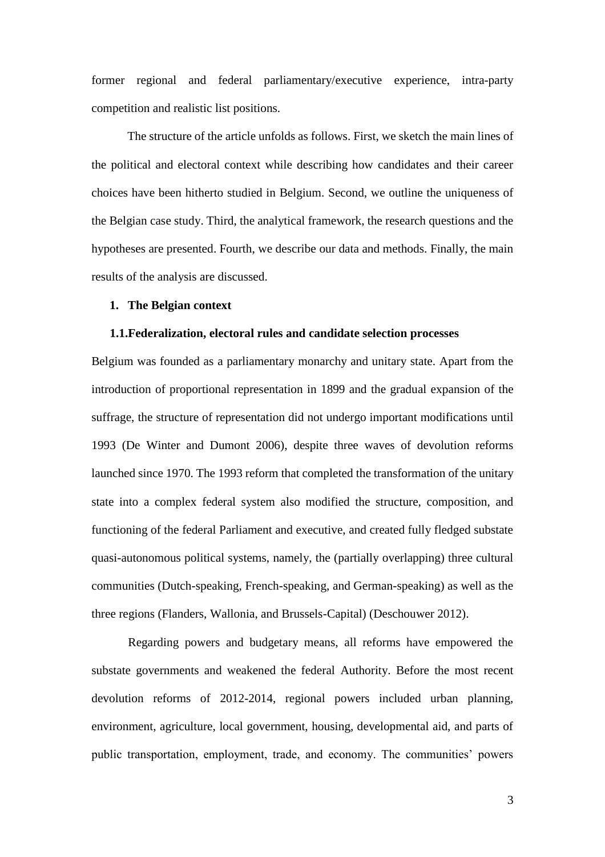former regional and federal parliamentary/executive experience, intra-party competition and realistic list positions.

The structure of the article unfolds as follows. First, we sketch the main lines of the political and electoral context while describing how candidates and their career choices have been hitherto studied in Belgium. Second, we outline the uniqueness of the Belgian case study. Third, the analytical framework, the research questions and the hypotheses are presented. Fourth, we describe our data and methods. Finally, the main results of the analysis are discussed.

#### **1. The Belgian context**

#### **1.1.Federalization, electoral rules and candidate selection processes**

Belgium was founded as a parliamentary monarchy and unitary state. Apart from the introduction of proportional representation in 1899 and the gradual expansion of the suffrage, the structure of representation did not undergo important modifications until 1993 (De Winter and Dumont 2006), despite three waves of devolution reforms launched since 1970. The 1993 reform that completed the transformation of the unitary state into a complex federal system also modified the structure, composition, and functioning of the federal Parliament and executive, and created fully fledged substate quasi-autonomous political systems, namely, the (partially overlapping) three cultural communities (Dutch-speaking, French-speaking, and German-speaking) as well as the three regions (Flanders, Wallonia, and Brussels-Capital) (Deschouwer 2012).

Regarding powers and budgetary means, all reforms have empowered the substate governments and weakened the federal Authority. Before the most recent devolution reforms of 2012-2014, regional powers included urban planning, environment, agriculture, local government, housing, developmental aid, and parts of public transportation, employment, trade, and economy. The communities' powers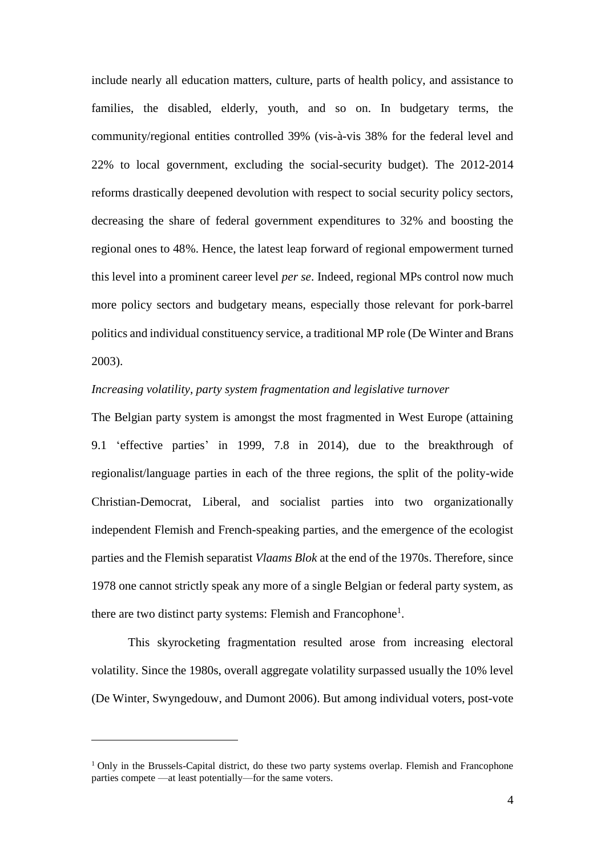include nearly all education matters, culture, parts of health policy, and assistance to families, the disabled, elderly, youth, and so on. In budgetary terms, the community/regional entities controlled 39% (vis-à-vis 38% for the federal level and 22% to local government, excluding the social-security budget). The 2012-2014 reforms drastically deepened devolution with respect to social security policy sectors, decreasing the share of federal government expenditures to 32% and boosting the regional ones to 48%. Hence, the latest leap forward of regional empowerment turned this level into a prominent career level *per se*. Indeed, regional MPs control now much more policy sectors and budgetary means, especially those relevant for pork-barrel politics and individual constituency service, a traditional MP role (De Winter and Brans 2003).

#### *Increasing volatility, party system fragmentation and legislative turnover*

The Belgian party system is amongst the most fragmented in West Europe (attaining 9.1 'effective parties' in 1999, 7.8 in 2014), due to the breakthrough of regionalist/language parties in each of the three regions, the split of the polity-wide Christian-Democrat, Liberal, and socialist parties into two organizationally independent Flemish and French-speaking parties, and the emergence of the ecologist parties and the Flemish separatist *Vlaams Blok* at the end of the 1970s. Therefore, since 1978 one cannot strictly speak any more of a single Belgian or federal party system, as there are two distinct party systems: Flemish and Francophone<sup>1</sup>.

This skyrocketing fragmentation resulted arose from increasing electoral volatility. Since the 1980s, overall aggregate volatility surpassed usually the 10% level (De Winter, Swyngedouw, and Dumont 2006). But among individual voters, post-vote

 $\overline{a}$ 

 $1$  Only in the Brussels-Capital district, do these two party systems overlap. Flemish and Francophone parties compete —at least potentially—for the same voters.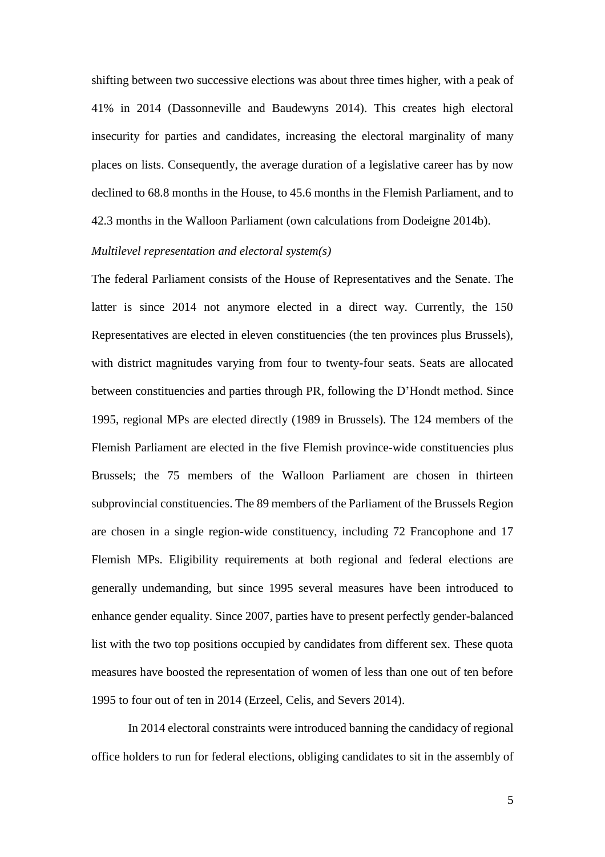shifting between two successive elections was about three times higher, with a peak of 41% in 2014 (Dassonneville and Baudewyns 2014). This creates high electoral insecurity for parties and candidates, increasing the electoral marginality of many places on lists. Consequently, the average duration of a legislative career has by now declined to 68.8 months in the House, to 45.6 months in the Flemish Parliament, and to 42.3 months in the Walloon Parliament (own calculations from Dodeigne 2014b).

#### *Multilevel representation and electoral system(s)*

The federal Parliament consists of the House of Representatives and the Senate. The latter is since 2014 not anymore elected in a direct way. Currently, the 150 Representatives are elected in eleven constituencies (the ten provinces plus Brussels), with district magnitudes varying from four to twenty-four seats. Seats are allocated between constituencies and parties through PR, following the D'Hondt method. Since 1995, regional MPs are elected directly (1989 in Brussels). The 124 members of the Flemish Parliament are elected in the five Flemish province-wide constituencies plus Brussels; the 75 members of the Walloon Parliament are chosen in thirteen subprovincial constituencies. The 89 members of the Parliament of the Brussels Region are chosen in a single region-wide constituency, including 72 Francophone and 17 Flemish MPs. Eligibility requirements at both regional and federal elections are generally undemanding, but since 1995 several measures have been introduced to enhance gender equality. Since 2007, parties have to present perfectly gender-balanced list with the two top positions occupied by candidates from different sex. These quota measures have boosted the representation of women of less than one out of ten before 1995 to four out of ten in 2014 (Erzeel, Celis, and Severs 2014).

In 2014 electoral constraints were introduced banning the candidacy of regional office holders to run for federal elections, obliging candidates to sit in the assembly of

5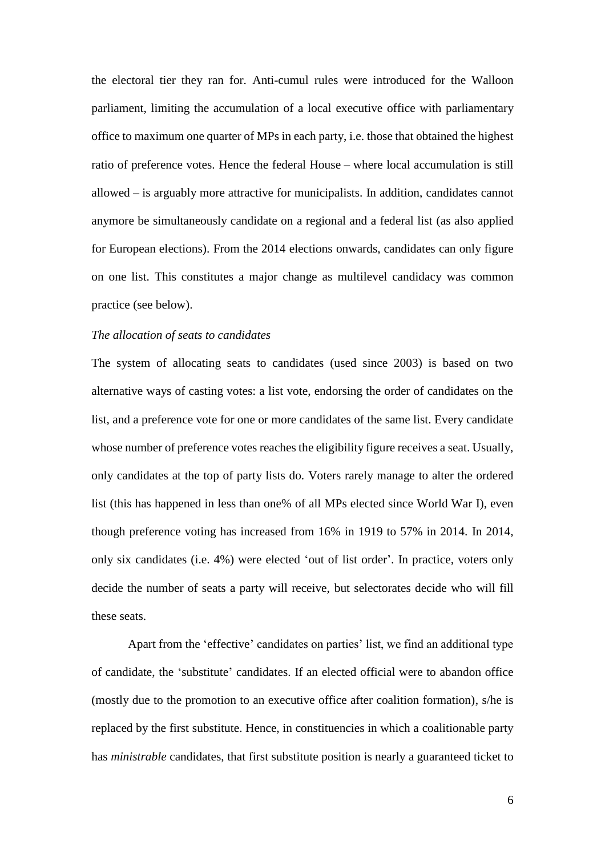the electoral tier they ran for. Anti-cumul rules were introduced for the Walloon parliament, limiting the accumulation of a local executive office with parliamentary office to maximum one quarter of MPs in each party, i.e. those that obtained the highest ratio of preference votes. Hence the federal House – where local accumulation is still allowed – is arguably more attractive for municipalists. In addition, candidates cannot anymore be simultaneously candidate on a regional and a federal list (as also applied for European elections). From the 2014 elections onwards, candidates can only figure on one list. This constitutes a major change as multilevel candidacy was common practice (see below).

#### *The allocation of seats to candidates*

The system of allocating seats to candidates (used since 2003) is based on two alternative ways of casting votes: a list vote, endorsing the order of candidates on the list, and a preference vote for one or more candidates of the same list. Every candidate whose number of preference votes reaches the eligibility figure receives a seat. Usually, only candidates at the top of party lists do. Voters rarely manage to alter the ordered list (this has happened in less than one% of all MPs elected since World War I), even though preference voting has increased from 16% in 1919 to 57% in 2014. In 2014, only six candidates (i.e. 4%) were elected 'out of list order'. In practice, voters only decide the number of seats a party will receive, but selectorates decide who will fill these seats.

Apart from the 'effective' candidates on parties' list, we find an additional type of candidate, the 'substitute' candidates. If an elected official were to abandon office (mostly due to the promotion to an executive office after coalition formation), s/he is replaced by the first substitute. Hence, in constituencies in which a coalitionable party has *ministrable* candidates, that first substitute position is nearly a guaranteed ticket to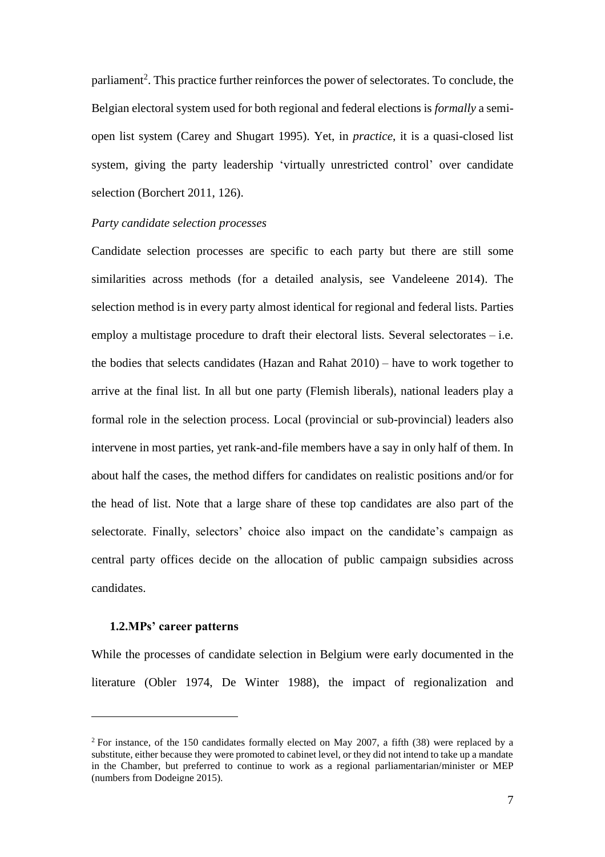parliament<sup>2</sup>. This practice further reinforces the power of selectorates. To conclude, the Belgian electoral system used for both regional and federal elections is *formally* a semiopen list system (Carey and Shugart 1995). Yet, in *practice*, it is a quasi-closed list system, giving the party leadership 'virtually unrestricted control' over candidate selection (Borchert 2011, 126).

#### *Party candidate selection processes*

Candidate selection processes are specific to each party but there are still some similarities across methods (for a detailed analysis, see Vandeleene 2014). The selection method is in every party almost identical for regional and federal lists. Parties employ a multistage procedure to draft their electoral lists. Several selectorates  $-$  i.e. the bodies that selects candidates (Hazan and Rahat 2010) – have to work together to arrive at the final list. In all but one party (Flemish liberals), national leaders play a formal role in the selection process. Local (provincial or sub-provincial) leaders also intervene in most parties, yet rank-and-file members have a say in only half of them. In about half the cases, the method differs for candidates on realistic positions and/or for the head of list. Note that a large share of these top candidates are also part of the selectorate. Finally, selectors' choice also impact on the candidate's campaign as central party offices decide on the allocation of public campaign subsidies across candidates.

#### **1.2.MPs' career patterns**

 $\overline{a}$ 

While the processes of candidate selection in Belgium were early documented in the literature (Obler 1974, De Winter 1988), the impact of regionalization and

<sup>2</sup> For instance, of the 150 candidates formally elected on May 2007, a fifth (38) were replaced by a substitute, either because they were promoted to cabinet level, or they did not intend to take up a mandate in the Chamber, but preferred to continue to work as a regional parliamentarian/minister or MEP (numbers from Dodeigne 2015).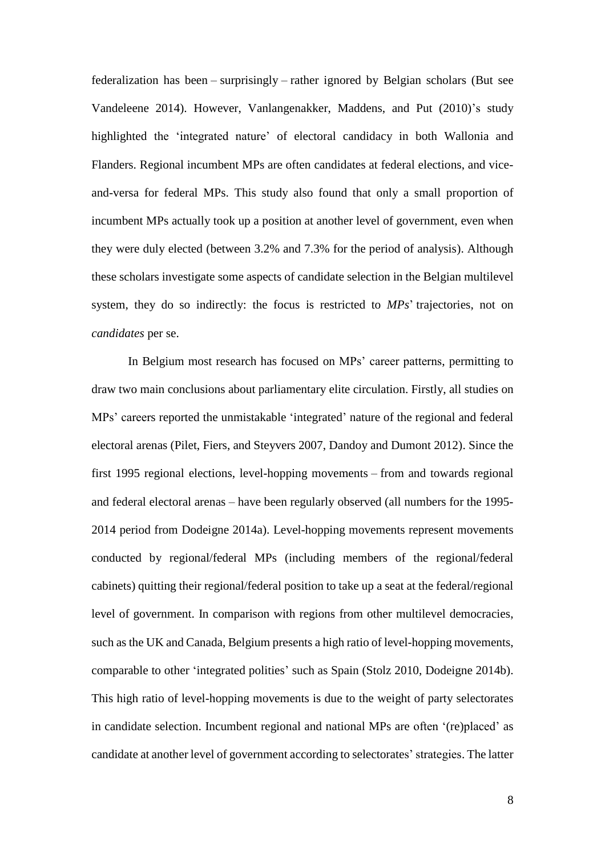federalization has been – surprisingly – rather ignored by Belgian scholars (But see Vandeleene 2014). However, Vanlangenakker, Maddens, and Put (2010)'s study highlighted the 'integrated nature' of electoral candidacy in both Wallonia and Flanders. Regional incumbent MPs are often candidates at federal elections, and viceand-versa for federal MPs. This study also found that only a small proportion of incumbent MPs actually took up a position at another level of government, even when they were duly elected (between 3.2% and 7.3% for the period of analysis). Although these scholars investigate some aspects of candidate selection in the Belgian multilevel system, they do so indirectly: the focus is restricted to *MPs*' trajectories, not on *candidates* per se.

In Belgium most research has focused on MPs' career patterns, permitting to draw two main conclusions about parliamentary elite circulation. Firstly, all studies on MPs' careers reported the unmistakable 'integrated' nature of the regional and federal electoral arenas (Pilet, Fiers, and Steyvers 2007, Dandoy and Dumont 2012). Since the first 1995 regional elections, level-hopping movements – from and towards regional and federal electoral arenas – have been regularly observed (all numbers for the 1995- 2014 period from Dodeigne 2014a). Level-hopping movements represent movements conducted by regional/federal MPs (including members of the regional/federal cabinets) quitting their regional/federal position to take up a seat at the federal/regional level of government. In comparison with regions from other multilevel democracies, such as the UK and Canada, Belgium presents a high ratio of level-hopping movements, comparable to other 'integrated polities' such as Spain (Stolz 2010, Dodeigne 2014b). This high ratio of level-hopping movements is due to the weight of party selectorates in candidate selection. Incumbent regional and national MPs are often '(re)placed' as candidate at another level of government according to selectorates' strategies. The latter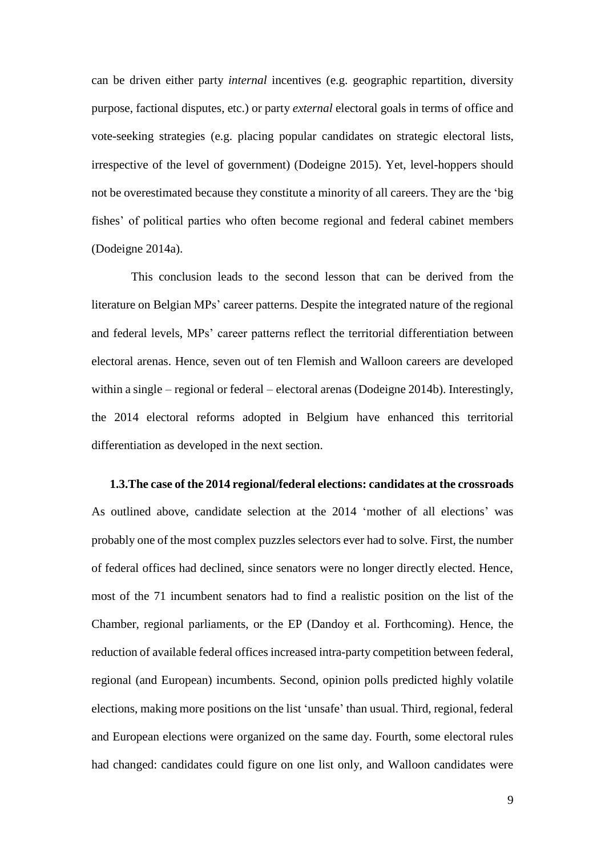can be driven either party *internal* incentives (e.g. geographic repartition, diversity purpose, factional disputes, etc.) or party *external* electoral goals in terms of office and vote-seeking strategies (e.g. placing popular candidates on strategic electoral lists, irrespective of the level of government) (Dodeigne 2015). Yet, level-hoppers should not be overestimated because they constitute a minority of all careers. They are the 'big fishes' of political parties who often become regional and federal cabinet members (Dodeigne 2014a).

This conclusion leads to the second lesson that can be derived from the literature on Belgian MPs' career patterns. Despite the integrated nature of the regional and federal levels, MPs' career patterns reflect the territorial differentiation between electoral arenas. Hence, seven out of ten Flemish and Walloon careers are developed within a single – regional or federal – electoral arenas (Dodeigne 2014b). Interestingly, the 2014 electoral reforms adopted in Belgium have enhanced this territorial differentiation as developed in the next section.

# **1.3.The case of the 2014 regional/federal elections: candidates at the crossroads** As outlined above, candidate selection at the 2014 'mother of all elections' was probably one of the most complex puzzles selectors ever had to solve. First, the number of federal offices had declined, since senators were no longer directly elected. Hence, most of the 71 incumbent senators had to find a realistic position on the list of the Chamber, regional parliaments, or the EP (Dandoy et al. Forthcoming). Hence, the reduction of available federal offices increased intra-party competition between federal, regional (and European) incumbents. Second, opinion polls predicted highly volatile elections, making more positions on the list 'unsafe' than usual. Third, regional, federal and European elections were organized on the same day. Fourth, some electoral rules had changed: candidates could figure on one list only, and Walloon candidates were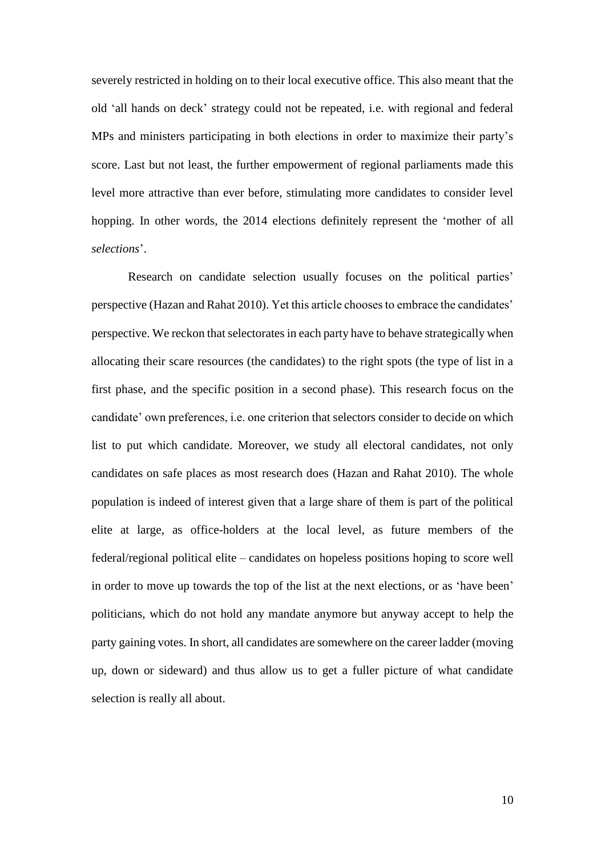severely restricted in holding on to their local executive office. This also meant that the old 'all hands on deck' strategy could not be repeated, i.e. with regional and federal MPs and ministers participating in both elections in order to maximize their party's score. Last but not least, the further empowerment of regional parliaments made this level more attractive than ever before, stimulating more candidates to consider level hopping. In other words, the 2014 elections definitely represent the 'mother of all *selections*'.

Research on candidate selection usually focuses on the political parties' perspective (Hazan and Rahat 2010). Yet this article chooses to embrace the candidates' perspective. We reckon that selectoratesin each party have to behave strategically when allocating their scare resources (the candidates) to the right spots (the type of list in a first phase, and the specific position in a second phase). This research focus on the candidate' own preferences, i.e. one criterion that selectors consider to decide on which list to put which candidate. Moreover, we study all electoral candidates, not only candidates on safe places as most research does (Hazan and Rahat 2010). The whole population is indeed of interest given that a large share of them is part of the political elite at large, as office-holders at the local level, as future members of the federal/regional political elite – candidates on hopeless positions hoping to score well in order to move up towards the top of the list at the next elections, or as 'have been' politicians, which do not hold any mandate anymore but anyway accept to help the party gaining votes. In short, all candidates are somewhere on the career ladder (moving up, down or sideward) and thus allow us to get a fuller picture of what candidate selection is really all about.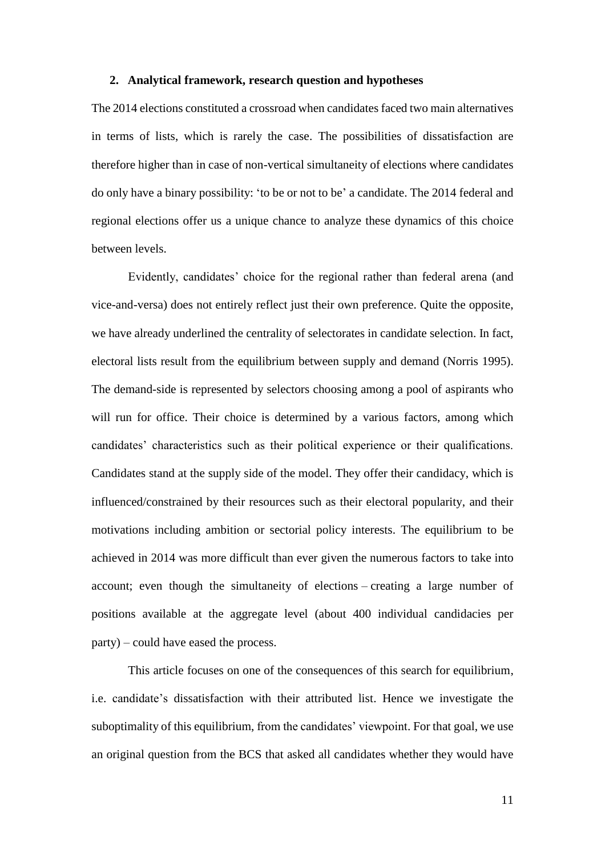#### **2. Analytical framework, research question and hypotheses**

The 2014 elections constituted a crossroad when candidates faced two main alternatives in terms of lists, which is rarely the case. The possibilities of dissatisfaction are therefore higher than in case of non-vertical simultaneity of elections where candidates do only have a binary possibility: 'to be or not to be' a candidate. The 2014 federal and regional elections offer us a unique chance to analyze these dynamics of this choice between levels.

Evidently, candidates' choice for the regional rather than federal arena (and vice-and-versa) does not entirely reflect just their own preference. Quite the opposite, we have already underlined the centrality of selectorates in candidate selection. In fact, electoral lists result from the equilibrium between supply and demand (Norris 1995). The demand-side is represented by selectors choosing among a pool of aspirants who will run for office. Their choice is determined by a various factors, among which candidates' characteristics such as their political experience or their qualifications. Candidates stand at the supply side of the model. They offer their candidacy, which is influenced/constrained by their resources such as their electoral popularity, and their motivations including ambition or sectorial policy interests. The equilibrium to be achieved in 2014 was more difficult than ever given the numerous factors to take into account; even though the simultaneity of elections – creating a large number of positions available at the aggregate level (about 400 individual candidacies per party) – could have eased the process.

This article focuses on one of the consequences of this search for equilibrium, i.e. candidate's dissatisfaction with their attributed list. Hence we investigate the suboptimality of this equilibrium, from the candidates' viewpoint. For that goal, we use an original question from the BCS that asked all candidates whether they would have

11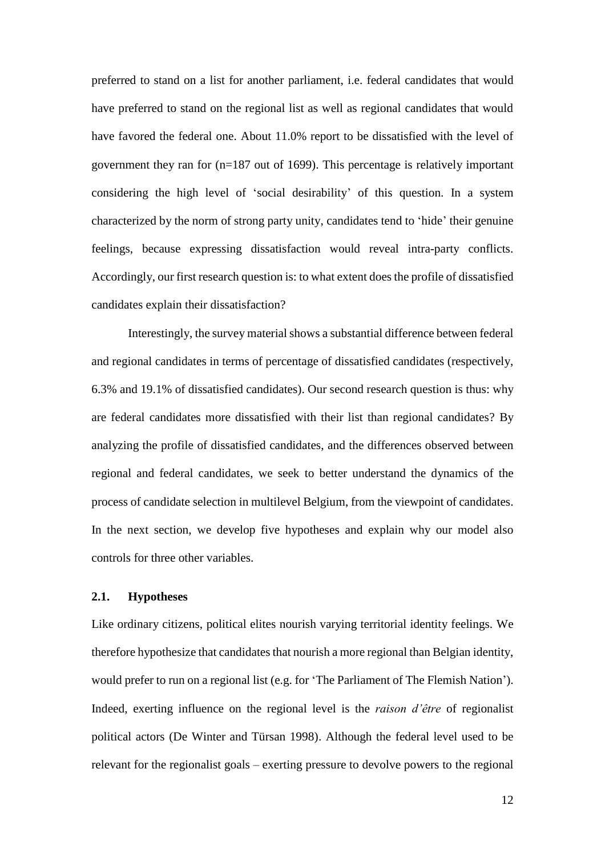preferred to stand on a list for another parliament, i.e. federal candidates that would have preferred to stand on the regional list as well as regional candidates that would have favored the federal one. About 11.0% report to be dissatisfied with the level of government they ran for (n=187 out of 1699). This percentage is relatively important considering the high level of 'social desirability' of this question. In a system characterized by the norm of strong party unity, candidates tend to 'hide' their genuine feelings, because expressing dissatisfaction would reveal intra-party conflicts. Accordingly, our first research question is: to what extent does the profile of dissatisfied candidates explain their dissatisfaction?

Interestingly, the survey material shows a substantial difference between federal and regional candidates in terms of percentage of dissatisfied candidates (respectively, 6.3% and 19.1% of dissatisfied candidates). Our second research question is thus: why are federal candidates more dissatisfied with their list than regional candidates? By analyzing the profile of dissatisfied candidates, and the differences observed between regional and federal candidates, we seek to better understand the dynamics of the process of candidate selection in multilevel Belgium, from the viewpoint of candidates. In the next section, we develop five hypotheses and explain why our model also controls for three other variables.

#### **2.1. Hypotheses**

Like ordinary citizens, political elites nourish varying territorial identity feelings. We therefore hypothesize that candidates that nourish a more regional than Belgian identity, would prefer to run on a regional list (e.g. for 'The Parliament of The Flemish Nation'). Indeed, exerting influence on the regional level is the *raison d'être* of regionalist political actors (De Winter and Türsan 1998). Although the federal level used to be relevant for the regionalist goals – exerting pressure to devolve powers to the regional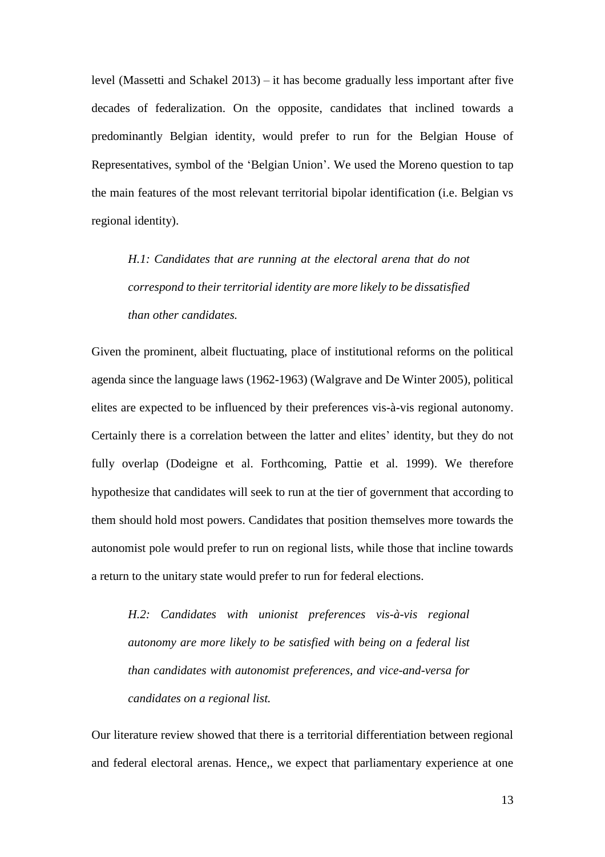level (Massetti and Schakel 2013) – it has become gradually less important after five decades of federalization. On the opposite, candidates that inclined towards a predominantly Belgian identity, would prefer to run for the Belgian House of Representatives, symbol of the 'Belgian Union'. We used the Moreno question to tap the main features of the most relevant territorial bipolar identification (i.e. Belgian vs regional identity).

*H.1: Candidates that are running at the electoral arena that do not correspond to their territorial identity are more likely to be dissatisfied than other candidates.*

Given the prominent, albeit fluctuating, place of institutional reforms on the political agenda since the language laws (1962-1963) (Walgrave and De Winter 2005), political elites are expected to be influenced by their preferences vis-à-vis regional autonomy. Certainly there is a correlation between the latter and elites' identity, but they do not fully overlap (Dodeigne et al. Forthcoming, Pattie et al. 1999). We therefore hypothesize that candidates will seek to run at the tier of government that according to them should hold most powers. Candidates that position themselves more towards the autonomist pole would prefer to run on regional lists, while those that incline towards a return to the unitary state would prefer to run for federal elections.

*H.2: Candidates with unionist preferences vis-à-vis regional autonomy are more likely to be satisfied with being on a federal list than candidates with autonomist preferences, and vice-and-versa for candidates on a regional list.*

Our literature review showed that there is a territorial differentiation between regional and federal electoral arenas. Hence,, we expect that parliamentary experience at one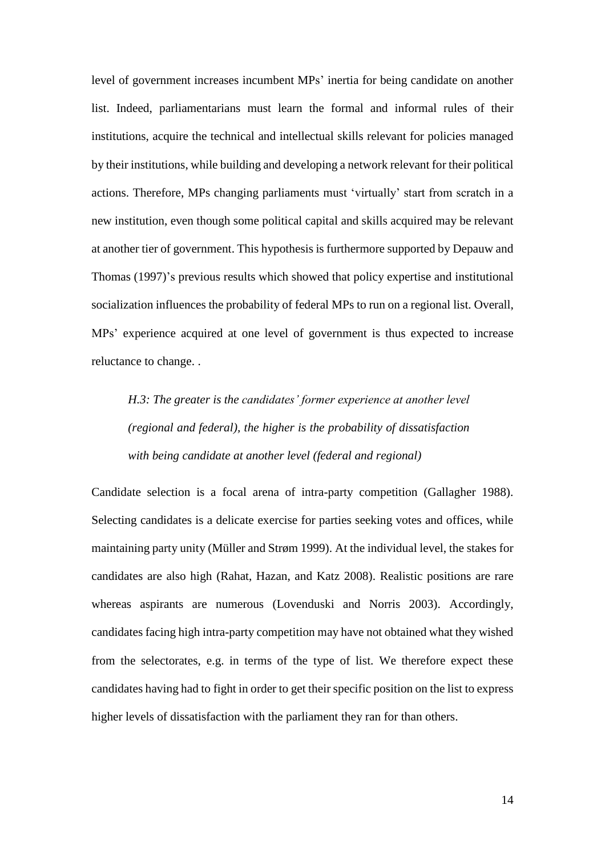level of government increases incumbent MPs' inertia for being candidate on another list. Indeed, parliamentarians must learn the formal and informal rules of their institutions, acquire the technical and intellectual skills relevant for policies managed by their institutions, while building and developing a network relevant for their political actions. Therefore, MPs changing parliaments must 'virtually' start from scratch in a new institution, even though some political capital and skills acquired may be relevant at another tier of government. This hypothesis is furthermore supported by Depauw and Thomas (1997)'s previous results which showed that policy expertise and institutional socialization influences the probability of federal MPs to run on a regional list. Overall, MPs' experience acquired at one level of government is thus expected to increase reluctance to change. .

*H.3: The greater is the candidates' former experience at another level (regional and federal), the higher is the probability of dissatisfaction with being candidate at another level (federal and regional)*

Candidate selection is a focal arena of intra-party competition (Gallagher 1988). Selecting candidates is a delicate exercise for parties seeking votes and offices, while maintaining party unity (Müller and Strøm 1999). At the individual level, the stakes for candidates are also high (Rahat, Hazan, and Katz 2008). Realistic positions are rare whereas aspirants are numerous (Lovenduski and Norris 2003). Accordingly, candidates facing high intra-party competition may have not obtained what they wished from the selectorates, e.g. in terms of the type of list. We therefore expect these candidates having had to fight in order to get their specific position on the list to express higher levels of dissatisfaction with the parliament they ran for than others.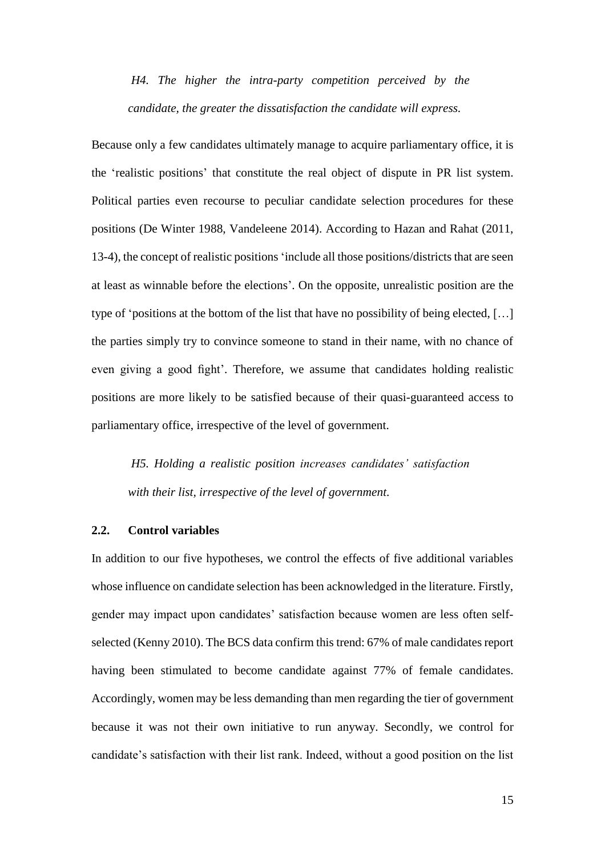*H4. The higher the intra-party competition perceived by the candidate, the greater the dissatisfaction the candidate will express.*

Because only a few candidates ultimately manage to acquire parliamentary office, it is the 'realistic positions' that constitute the real object of dispute in PR list system. Political parties even recourse to peculiar candidate selection procedures for these positions (De Winter 1988, Vandeleene 2014). According to Hazan and Rahat (2011, 13-4), the concept of realistic positions 'include all those positions/districts that are seen at least as winnable before the elections'. On the opposite, unrealistic position are the type of 'positions at the bottom of the list that have no possibility of being elected, […] the parties simply try to convince someone to stand in their name, with no chance of even giving a good fight'. Therefore, we assume that candidates holding realistic positions are more likely to be satisfied because of their quasi-guaranteed access to parliamentary office, irrespective of the level of government.

*H5. Holding a realistic position increases candidates' satisfaction with their list, irrespective of the level of government.*

#### **2.2. Control variables**

In addition to our five hypotheses, we control the effects of five additional variables whose influence on candidate selection has been acknowledged in the literature. Firstly, gender may impact upon candidates' satisfaction because women are less often selfselected (Kenny 2010). The BCS data confirm this trend: 67% of male candidates report having been stimulated to become candidate against 77% of female candidates. Accordingly, women may be less demanding than men regarding the tier of government because it was not their own initiative to run anyway. Secondly, we control for candidate's satisfaction with their list rank. Indeed, without a good position on the list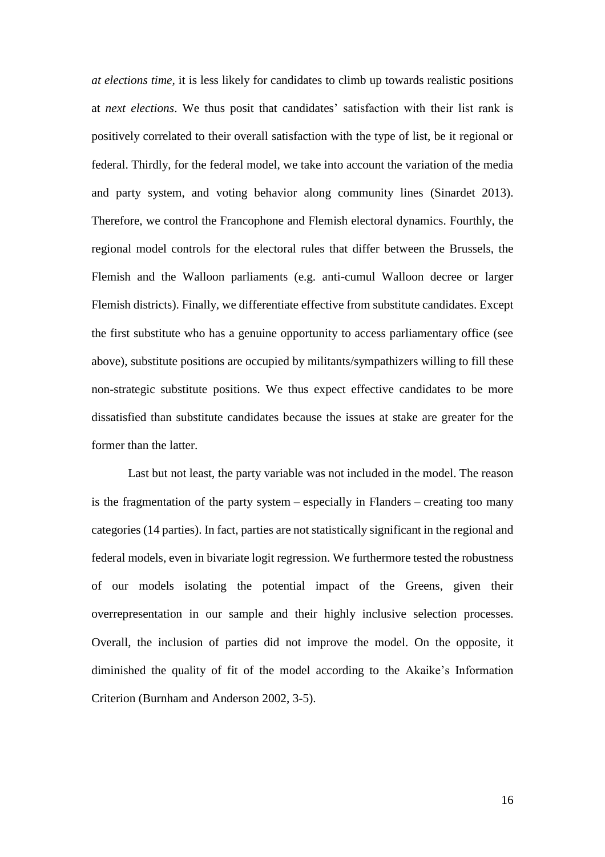*at elections time,* it is less likely for candidates to climb up towards realistic positions at *next elections*. We thus posit that candidates' satisfaction with their list rank is positively correlated to their overall satisfaction with the type of list, be it regional or federal. Thirdly, for the federal model, we take into account the variation of the media and party system, and voting behavior along community lines (Sinardet 2013). Therefore, we control the Francophone and Flemish electoral dynamics. Fourthly, the regional model controls for the electoral rules that differ between the Brussels, the Flemish and the Walloon parliaments (e.g. anti-cumul Walloon decree or larger Flemish districts). Finally, we differentiate effective from substitute candidates. Except the first substitute who has a genuine opportunity to access parliamentary office (see above), substitute positions are occupied by militants/sympathizers willing to fill these non-strategic substitute positions. We thus expect effective candidates to be more dissatisfied than substitute candidates because the issues at stake are greater for the former than the latter.

Last but not least, the party variable was not included in the model. The reason is the fragmentation of the party system – especially in Flanders – creating too many categories (14 parties). In fact, parties are not statistically significant in the regional and federal models, even in bivariate logit regression. We furthermore tested the robustness of our models isolating the potential impact of the Greens, given their overrepresentation in our sample and their highly inclusive selection processes. Overall, the inclusion of parties did not improve the model. On the opposite, it diminished the quality of fit of the model according to the Akaike's Information Criterion (Burnham and Anderson 2002, 3-5).

16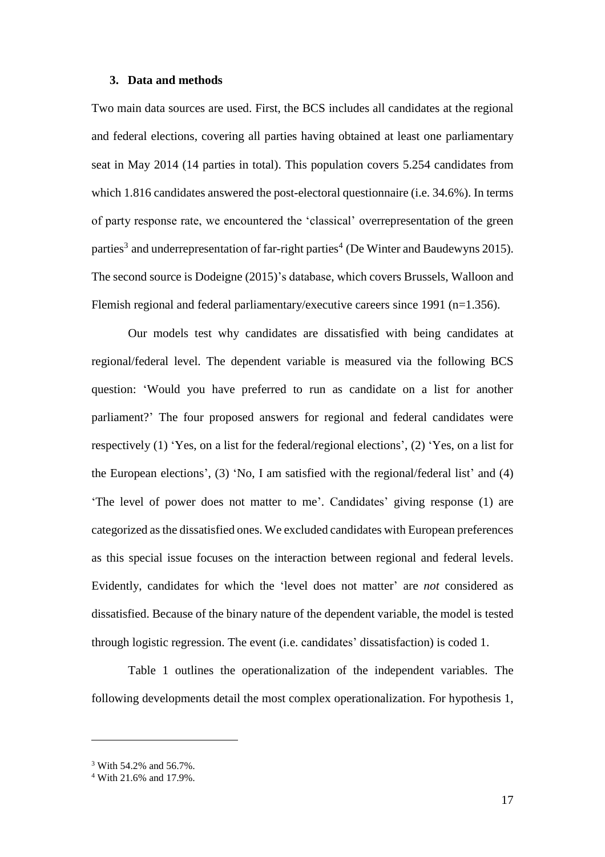#### **3. Data and methods**

Two main data sources are used. First, the BCS includes all candidates at the regional and federal elections, covering all parties having obtained at least one parliamentary seat in May 2014 (14 parties in total). This population covers 5.254 candidates from which 1.816 candidates answered the post-electoral questionnaire (i.e. 34.6%). In terms of party response rate, we encountered the 'classical' overrepresentation of the green parties<sup>3</sup> and underrepresentation of far-right parties<sup>4</sup> (De Winter and Baudewyns 2015). The second source is Dodeigne (2015)'s database, which covers Brussels, Walloon and Flemish regional and federal parliamentary/executive careers since 1991 (n=1.356).

Our models test why candidates are dissatisfied with being candidates at regional/federal level. The dependent variable is measured via the following BCS question: 'Would you have preferred to run as candidate on a list for another parliament?' The four proposed answers for regional and federal candidates were respectively (1) 'Yes, on a list for the federal/regional elections', (2) 'Yes, on a list for the European elections', (3) 'No, I am satisfied with the regional/federal list' and (4) 'The level of power does not matter to me'. Candidates' giving response (1) are categorized as the dissatisfied ones. We excluded candidates with European preferences as this special issue focuses on the interaction between regional and federal levels. Evidently, candidates for which the 'level does not matter' are *not* considered as dissatisfied. Because of the binary nature of the dependent variable, the model is tested through logistic regression. The event (i.e. candidates' dissatisfaction) is coded 1.

Table 1 outlines the operationalization of the independent variables. The following developments detail the most complex operationalization. For hypothesis 1,

 $\overline{a}$ 

<sup>3</sup> With 54.2% and 56.7%.

<sup>4</sup> With 21.6% and 17.9%.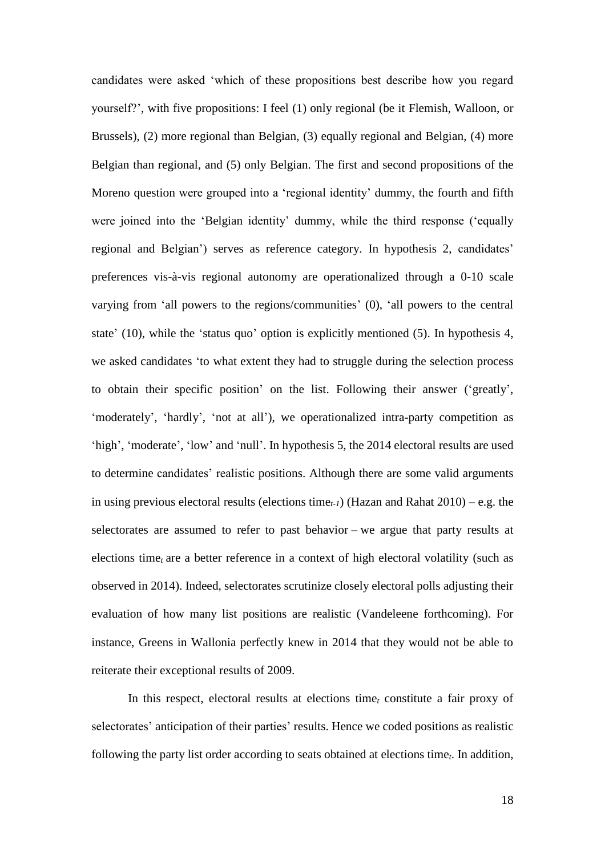candidates were asked 'which of these propositions best describe how you regard yourself?', with five propositions: I feel (1) only regional (be it Flemish, Walloon, or Brussels), (2) more regional than Belgian, (3) equally regional and Belgian, (4) more Belgian than regional, and (5) only Belgian. The first and second propositions of the Moreno question were grouped into a 'regional identity' dummy, the fourth and fifth were joined into the 'Belgian identity' dummy, while the third response ('equally regional and Belgian') serves as reference category. In hypothesis 2, candidates' preferences vis-à-vis regional autonomy are operationalized through a 0-10 scale varying from 'all powers to the regions/communities' (0), 'all powers to the central state' (10), while the 'status quo' option is explicitly mentioned (5). In hypothesis 4, we asked candidates 'to what extent they had to struggle during the selection process to obtain their specific position' on the list. Following their answer ('greatly', 'moderately', 'hardly', 'not at all'), we operationalized intra-party competition as 'high', 'moderate', 'low' and 'null'. In hypothesis 5, the 2014 electoral results are used to determine candidates' realistic positions. Although there are some valid arguments in using previous electoral results (elections time*t-1*) (Hazan and Rahat 2010) – e.g. the selectorates are assumed to refer to past behavior – we argue that party results at elections time*<sup>t</sup>* are a better reference in a context of high electoral volatility (such as observed in 2014). Indeed, selectorates scrutinize closely electoral polls adjusting their evaluation of how many list positions are realistic (Vandeleene forthcoming). For instance, Greens in Wallonia perfectly knew in 2014 that they would not be able to reiterate their exceptional results of 2009.

In this respect, electoral results at elections time*<sup>t</sup>* constitute a fair proxy of selectorates' anticipation of their parties' results. Hence we coded positions as realistic following the party list order according to seats obtained at elections time*t*. In addition,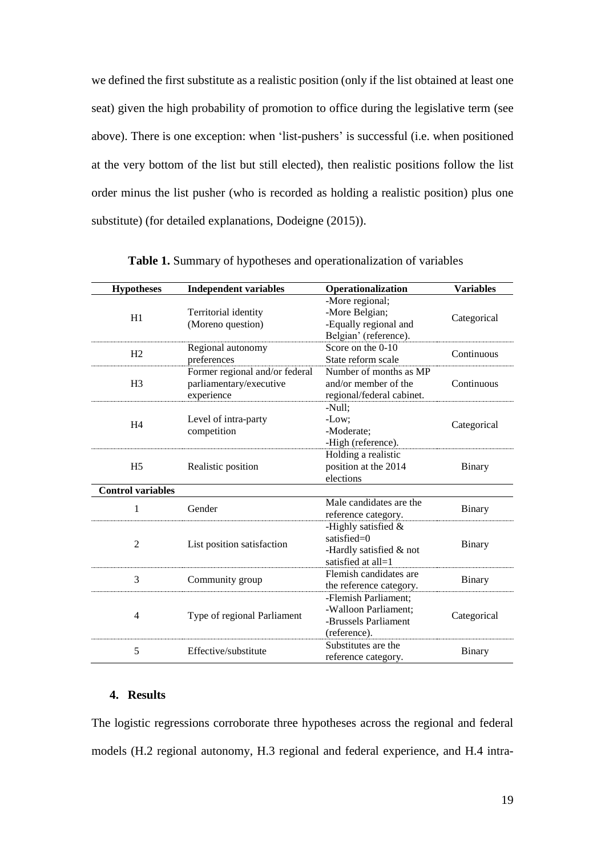we defined the first substitute as a realistic position (only if the list obtained at least one seat) given the high probability of promotion to office during the legislative term (see above). There is one exception: when 'list-pushers' is successful (i.e. when positioned at the very bottom of the list but still elected), then realistic positions follow the list order minus the list pusher (who is recorded as holding a realistic position) plus one substitute) (for detailed explanations, Dodeigne (2015)).

| <b>Hypotheses</b>        | <b>Independent variables</b>                                            | Operationalization                                                                        | <b>Variables</b> |
|--------------------------|-------------------------------------------------------------------------|-------------------------------------------------------------------------------------------|------------------|
| H1                       | Territorial identity<br>(Moreno question)                               | -More regional;<br>-More Belgian;<br>-Equally regional and<br>Belgian' (reference).       | Categorical      |
| H2                       | Regional autonomy<br>preferences                                        | Score on the 0-10<br>State reform scale                                                   | Continuous       |
| H <sub>3</sub>           | Former regional and/or federal<br>parliamentary/executive<br>experience | Number of months as MP<br>and/or member of the<br>regional/federal cabinet.               | Continuous       |
| H <sub>4</sub>           | Level of intra-party<br>competition                                     | -Null;<br>-Low;<br>-Moderate;<br>-High (reference).                                       | Categorical      |
| H <sub>5</sub>           | Realistic position                                                      | Holding a realistic<br>position at the 2014<br>elections                                  | Binary           |
| <b>Control variables</b> |                                                                         |                                                                                           |                  |
| 1                        | Gender                                                                  | Male candidates are the<br>reference category.                                            | Binary           |
| $\overline{2}$           | List position satisfaction                                              | -Highly satisfied $\&$<br>satisfied= $0$<br>-Hardly satisfied & not<br>satisfied at all=1 | <b>Binary</b>    |
| 3                        | Community group                                                         | Flemish candidates are<br>the reference category.                                         | <b>Binary</b>    |
| 4                        | Type of regional Parliament                                             | -Flemish Parliament:<br>-Walloon Parliament;<br>-Brussels Parliament<br>(reference).      | Categorical      |
| 5                        | Effective/substitute                                                    | Substitutes are the<br>reference category.                                                | Binary           |

**Table 1.** Summary of hypotheses and operationalization of variables

#### **4. Results**

The logistic regressions corroborate three hypotheses across the regional and federal models (H.2 regional autonomy, H.3 regional and federal experience, and H.4 intra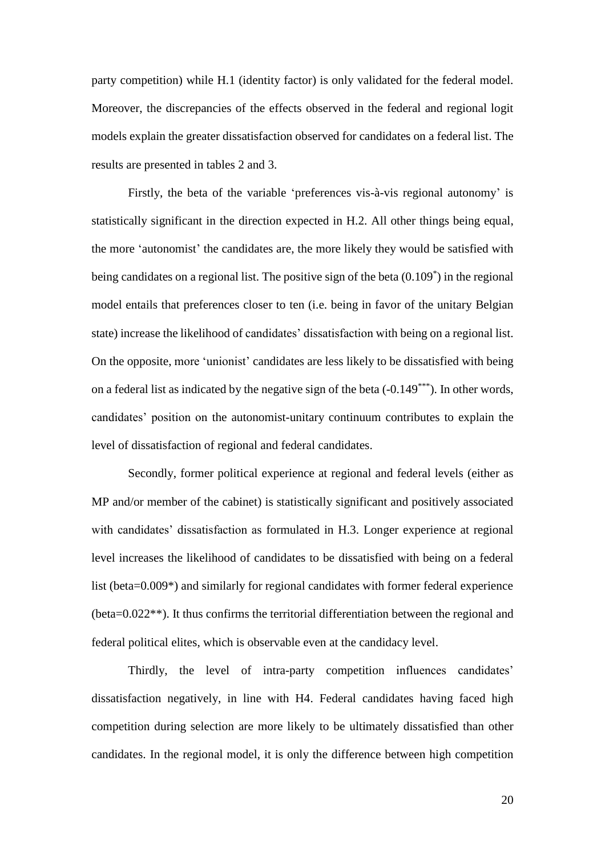party competition) while H.1 (identity factor) is only validated for the federal model. Moreover, the discrepancies of the effects observed in the federal and regional logit models explain the greater dissatisfaction observed for candidates on a federal list. The results are presented in tables 2 and 3.

Firstly, the beta of the variable 'preferences vis-à-vis regional autonomy' is statistically significant in the direction expected in H.2. All other things being equal, the more 'autonomist' the candidates are, the more likely they would be satisfied with being candidates on a regional list. The positive sign of the beta (0.109<sup>\*</sup>) in the regional model entails that preferences closer to ten (i.e. being in favor of the unitary Belgian state) increase the likelihood of candidates' dissatisfaction with being on a regional list. On the opposite, more 'unionist' candidates are less likely to be dissatisfied with being on a federal list as indicated by the negative sign of the beta  $(-0.149***)$ . In other words, candidates' position on the autonomist-unitary continuum contributes to explain the level of dissatisfaction of regional and federal candidates.

Secondly, former political experience at regional and federal levels (either as MP and/or member of the cabinet) is statistically significant and positively associated with candidates' dissatisfaction as formulated in H.3. Longer experience at regional level increases the likelihood of candidates to be dissatisfied with being on a federal list (beta=0.009<sup>\*</sup>) and similarly for regional candidates with former federal experience (beta=0.022\*\*). It thus confirms the territorial differentiation between the regional and federal political elites, which is observable even at the candidacy level.

Thirdly, the level of intra-party competition influences candidates' dissatisfaction negatively, in line with H4. Federal candidates having faced high competition during selection are more likely to be ultimately dissatisfied than other candidates. In the regional model, it is only the difference between high competition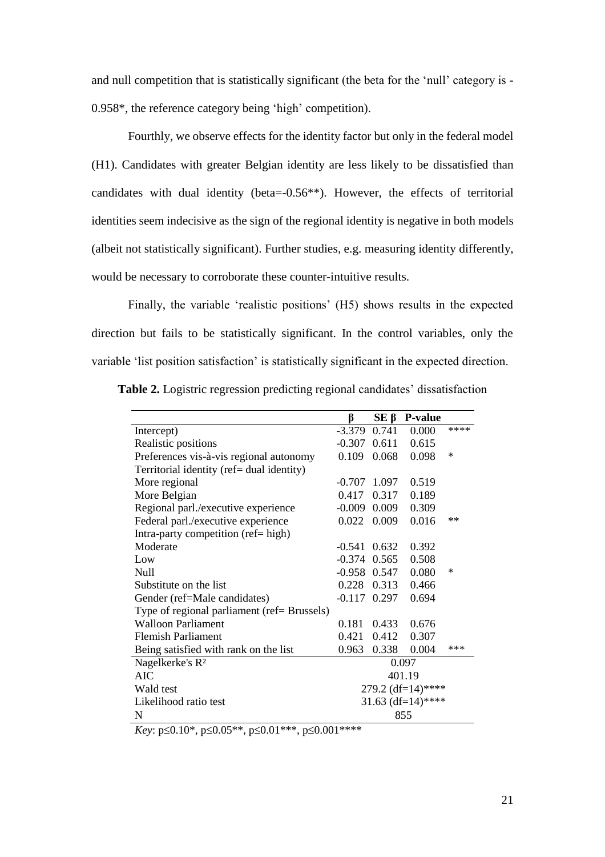and null competition that is statistically significant (the beta for the 'null' category is - 0.958\*, the reference category being 'high' competition).

Fourthly, we observe effects for the identity factor but only in the federal model (H1). Candidates with greater Belgian identity are less likely to be dissatisfied than candidates with dual identity (beta=-0.56\*\*). However, the effects of territorial identities seem indecisive as the sign of the regional identity is negative in both models (albeit not statistically significant). Further studies, e.g. measuring identity differently, would be necessary to corroborate these counter-intuitive results.

Finally, the variable 'realistic positions' (H5) shows results in the expected direction but fails to be statistically significant. In the control variables, only the variable 'list position satisfaction' is statistically significant in the expected direction.

|  |  |  | Table 2. Logistric regression predicting regional candidates' dissatisfaction |
|--|--|--|-------------------------------------------------------------------------------|
|  |  |  |                                                                               |

|                                             | ß              | $SE \beta$  | <b>P-value</b>    |        |
|---------------------------------------------|----------------|-------------|-------------------|--------|
| Intercept)                                  | $-3.379$       | 0.741       | 0.000             | ****   |
| Realistic positions                         | -0.307         | 0.611       | 0.615             |        |
| Preferences vis-à-vis regional autonomy     | 0.109          | 0.068       | 0.098             | $\ast$ |
| Territorial identity (ref= dual identity)   |                |             |                   |        |
| More regional                               | $-0.707$ 1.097 |             | 0.519             |        |
| More Belgian                                | 0.417          | 0.317       | 0.189             |        |
| Regional parl./executive experience         | $-0.009$       | 0.009       | 0.309             |        |
| Federal parl./executive experience          | 0.022          | 0.009       | 0.016             | $**$   |
| Intra-party competition (ref= high)         |                |             |                   |        |
| Moderate                                    | $-0.541$       | 0.632       | 0.392             |        |
| Low                                         | $-0.374$ 0.565 |             | 0.508             |        |
| Null                                        | $-0.958$ 0.547 |             | 0.080             | ∗      |
| Substitute on the list                      |                | 0.228 0.313 | 0.466             |        |
| Gender (ref=Male candidates)                | $-0.117$       | 0.297       | 0.694             |        |
| Type of regional parliament (ref= Brussels) |                |             |                   |        |
| <b>Walloon Parliament</b>                   | 0.181          | 0.433       | 0.676             |        |
| <b>Flemish Parliament</b>                   | 0.421          | 0.412       | 0.307             |        |
| Being satisfied with rank on the list       | 0.963          | 0.338       | 0.004             | $***$  |
| Nagelkerke's R <sup>2</sup>                 |                |             | 0.097             |        |
| AIC                                         |                |             | 401.19            |        |
| Wald test                                   |                |             | 279.2 (df=14)**** |        |
| Likelihood ratio test                       |                |             | 31.63 (df=14)**** |        |
| N                                           |                |             | 855               |        |

*Key*:  $p \le 0.10^*$ ,  $p \le 0.05^{**}$ ,  $p \le 0.01^{***}$ ,  $p \le 0.001^{****}$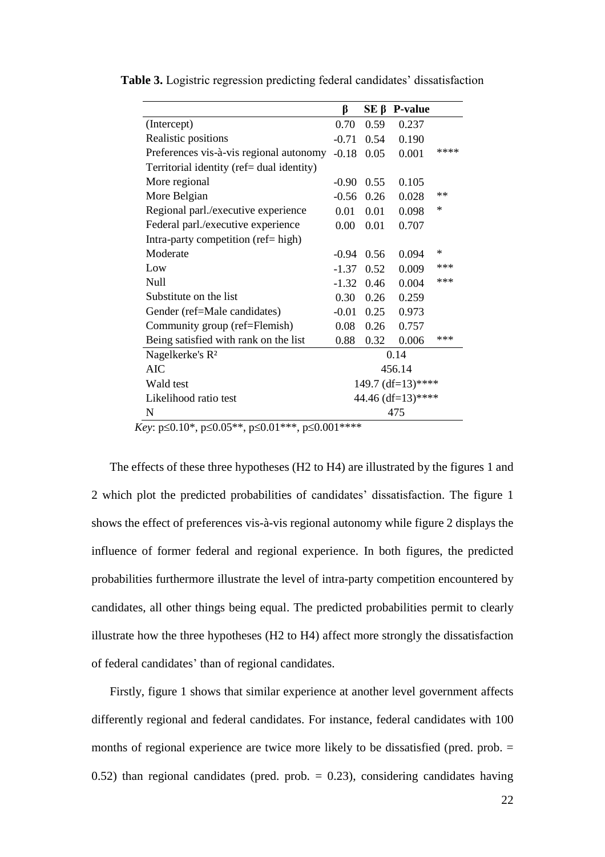|                                                                                         | β                   | SΕ β | <b>P-value</b> |        |
|-----------------------------------------------------------------------------------------|---------------------|------|----------------|--------|
| (Intercept)                                                                             | 0.70                | 0.59 | 0.237          |        |
| Realistic positions                                                                     | $-0.71$             | 0.54 | 0.190          |        |
| Preferences vis-à-vis regional autonomy                                                 | $-0.18$             | 0.05 | 0.001          | ****   |
| Territorial identity (ref= dual identity)                                               |                     |      |                |        |
| More regional                                                                           | $-0.90$             | 0.55 | 0.105          |        |
| More Belgian                                                                            | $-0.56$             | 0.26 | 0.028          | $**$   |
| Regional parl./executive experience                                                     | 0.01                | 0.01 | 0.098          | $\ast$ |
| Federal parl./executive experience                                                      | 0.00                | 0.01 | 0.707          |        |
| Intra-party competition (ref= high)                                                     |                     |      |                |        |
| Moderate                                                                                | $-0.94$             | 0.56 | 0.094          | $\ast$ |
| Low                                                                                     | $-1.37$             | 0.52 | 0.009          | ***    |
| Null                                                                                    | $-1.32$             | 0.46 | 0.004          | ***    |
| Substitute on the list                                                                  | 0.30                | 0.26 | 0.259          |        |
| Gender (ref=Male candidates)                                                            | $-0.01$             | 0.25 | 0.973          |        |
| Community group (ref=Flemish)                                                           | 0.08                | 0.26 | 0.757          |        |
| Being satisfied with rank on the list                                                   | 0.88                | 0.32 | 0.006          | ***    |
| Nagelkerke's R <sup>2</sup>                                                             | 0.14                |      |                |        |
| <b>AIC</b>                                                                              |                     |      | 456.14         |        |
| Wald test                                                                               | 149.7 $(df=13)****$ |      |                |        |
| Likelihood ratio test                                                                   | 44.46 (df=13)****   |      |                |        |
| N                                                                                       | 475                 |      |                |        |
| $\zeta_{\rm out}$ $\approx$ 0.10* $\approx$ 0.05** $\approx$ 0.01*** $\approx$ 0.01**** |                     |      |                |        |

**Table 3.** Logistric regression predicting federal candidates' dissatisfaction

*Key*:  $p \le 0.10^*$ ,  $p \le 0.05^{**}$ ,  $p \le 0.01^{***}$ ,  $p \le 0.001^{****}$ 

The effects of these three hypotheses (H2 to H4) are illustrated by the figures 1 and 2 which plot the predicted probabilities of candidates' dissatisfaction. The figure 1 shows the effect of preferences vis-à-vis regional autonomy while figure 2 displays the influence of former federal and regional experience. In both figures, the predicted probabilities furthermore illustrate the level of intra-party competition encountered by candidates, all other things being equal. The predicted probabilities permit to clearly illustrate how the three hypotheses (H2 to H4) affect more strongly the dissatisfaction of federal candidates' than of regional candidates.

Firstly, figure 1 shows that similar experience at another level government affects differently regional and federal candidates. For instance, federal candidates with 100 months of regional experience are twice more likely to be dissatisfied (pred. prob. = 0.52) than regional candidates (pred. prob.  $= 0.23$ ), considering candidates having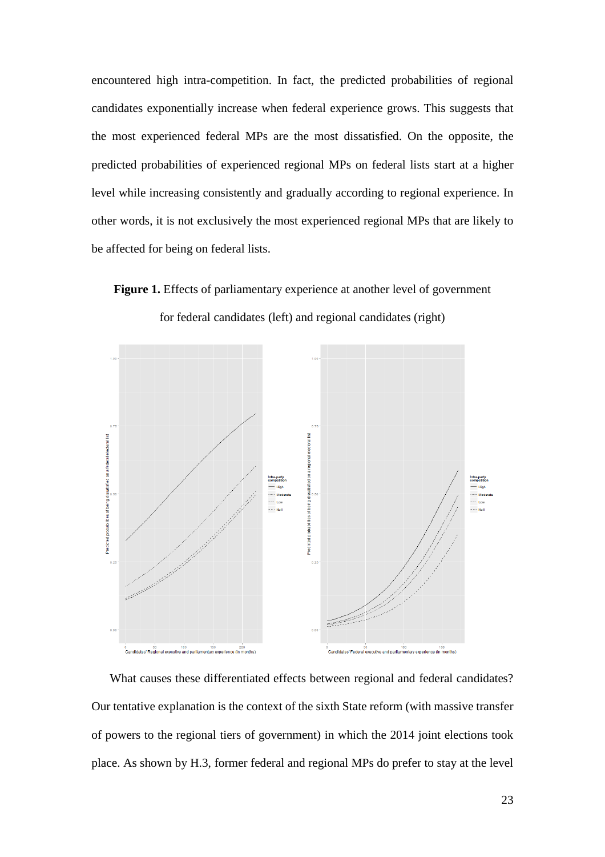encountered high intra-competition. In fact, the predicted probabilities of regional candidates exponentially increase when federal experience grows. This suggests that the most experienced federal MPs are the most dissatisfied. On the opposite, the predicted probabilities of experienced regional MPs on federal lists start at a higher level while increasing consistently and gradually according to regional experience. In other words, it is not exclusively the most experienced regional MPs that are likely to be affected for being on federal lists.

Figure 1. Effects of parliamentary experience at another level of government for federal candidates (left) and regional candidates (right)



What causes these differentiated effects between regional and federal candidates? Our tentative explanation is the context of the sixth State reform (with massive transfer of powers to the regional tiers of government) in which the 2014 joint elections took place. As shown by H.3, former federal and regional MPs do prefer to stay at the level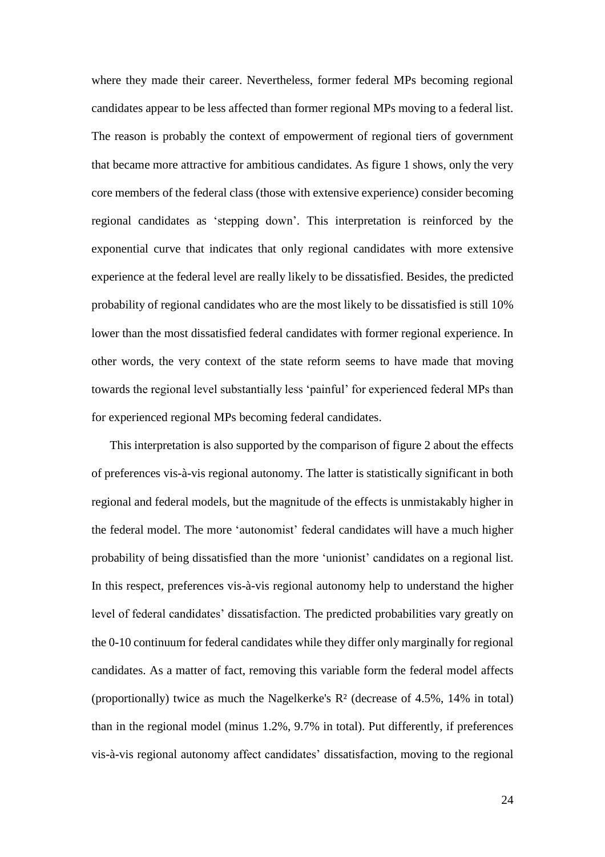where they made their career. Nevertheless, former federal MPs becoming regional candidates appear to be less affected than former regional MPs moving to a federal list. The reason is probably the context of empowerment of regional tiers of government that became more attractive for ambitious candidates. As figure 1 shows, only the very core members of the federal class (those with extensive experience) consider becoming regional candidates as 'stepping down'. This interpretation is reinforced by the exponential curve that indicates that only regional candidates with more extensive experience at the federal level are really likely to be dissatisfied. Besides, the predicted probability of regional candidates who are the most likely to be dissatisfied is still 10% lower than the most dissatisfied federal candidates with former regional experience. In other words, the very context of the state reform seems to have made that moving towards the regional level substantially less 'painful' for experienced federal MPs than for experienced regional MPs becoming federal candidates.

This interpretation is also supported by the comparison of figure 2 about the effects of preferences vis-à-vis regional autonomy. The latter is statistically significant in both regional and federal models, but the magnitude of the effects is unmistakably higher in the federal model. The more 'autonomist' federal candidates will have a much higher probability of being dissatisfied than the more 'unionist' candidates on a regional list. In this respect, preferences vis-à-vis regional autonomy help to understand the higher level of federal candidates' dissatisfaction. The predicted probabilities vary greatly on the 0-10 continuum for federal candidates while they differ only marginally for regional candidates. As a matter of fact, removing this variable form the federal model affects (proportionally) twice as much the Nagelkerke's R² (decrease of 4.5%, 14% in total) than in the regional model (minus 1.2%, 9.7% in total). Put differently, if preferences vis-à-vis regional autonomy affect candidates' dissatisfaction, moving to the regional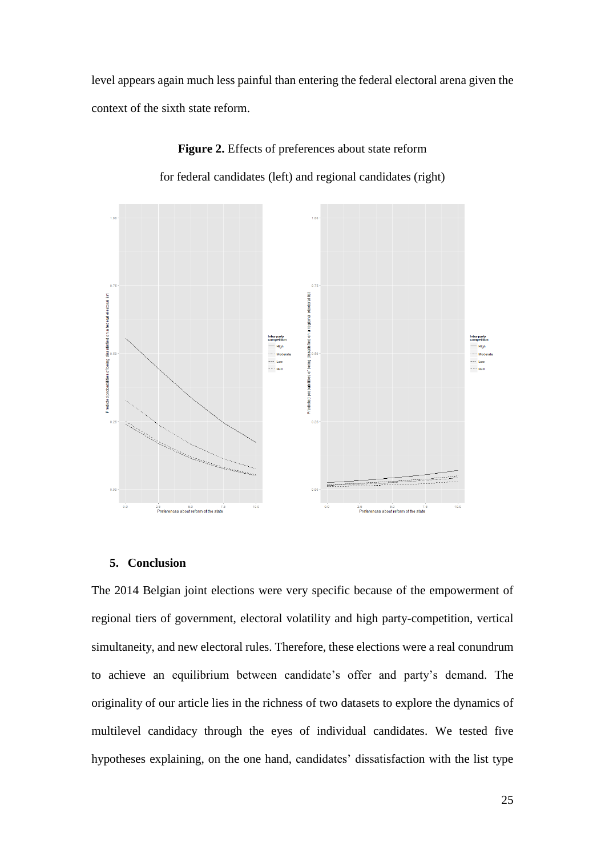level appears again much less painful than entering the federal electoral arena given the context of the sixth state reform.



**Figure 2.** Effects of preferences about state reform for federal candidates (left) and regional candidates (right)

#### **5. Conclusion**

The 2014 Belgian joint elections were very specific because of the empowerment of regional tiers of government, electoral volatility and high party-competition, vertical simultaneity, and new electoral rules. Therefore, these elections were a real conundrum to achieve an equilibrium between candidate's offer and party's demand. The originality of our article lies in the richness of two datasets to explore the dynamics of multilevel candidacy through the eyes of individual candidates. We tested five hypotheses explaining, on the one hand, candidates' dissatisfaction with the list type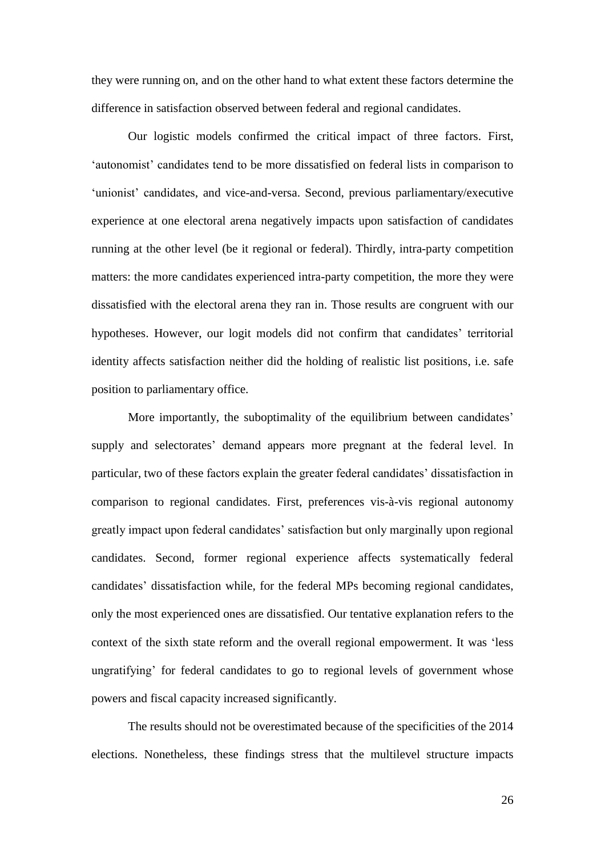they were running on, and on the other hand to what extent these factors determine the difference in satisfaction observed between federal and regional candidates.

Our logistic models confirmed the critical impact of three factors. First, 'autonomist' candidates tend to be more dissatisfied on federal lists in comparison to 'unionist' candidates, and vice-and-versa. Second, previous parliamentary/executive experience at one electoral arena negatively impacts upon satisfaction of candidates running at the other level (be it regional or federal). Thirdly, intra-party competition matters: the more candidates experienced intra-party competition, the more they were dissatisfied with the electoral arena they ran in. Those results are congruent with our hypotheses. However, our logit models did not confirm that candidates' territorial identity affects satisfaction neither did the holding of realistic list positions, i.e. safe position to parliamentary office.

More importantly, the suboptimality of the equilibrium between candidates' supply and selectorates' demand appears more pregnant at the federal level. In particular, two of these factors explain the greater federal candidates' dissatisfaction in comparison to regional candidates. First, preferences vis-à-vis regional autonomy greatly impact upon federal candidates' satisfaction but only marginally upon regional candidates. Second, former regional experience affects systematically federal candidates' dissatisfaction while, for the federal MPs becoming regional candidates, only the most experienced ones are dissatisfied. Our tentative explanation refers to the context of the sixth state reform and the overall regional empowerment. It was 'less ungratifying' for federal candidates to go to regional levels of government whose powers and fiscal capacity increased significantly.

The results should not be overestimated because of the specificities of the 2014 elections. Nonetheless, these findings stress that the multilevel structure impacts

26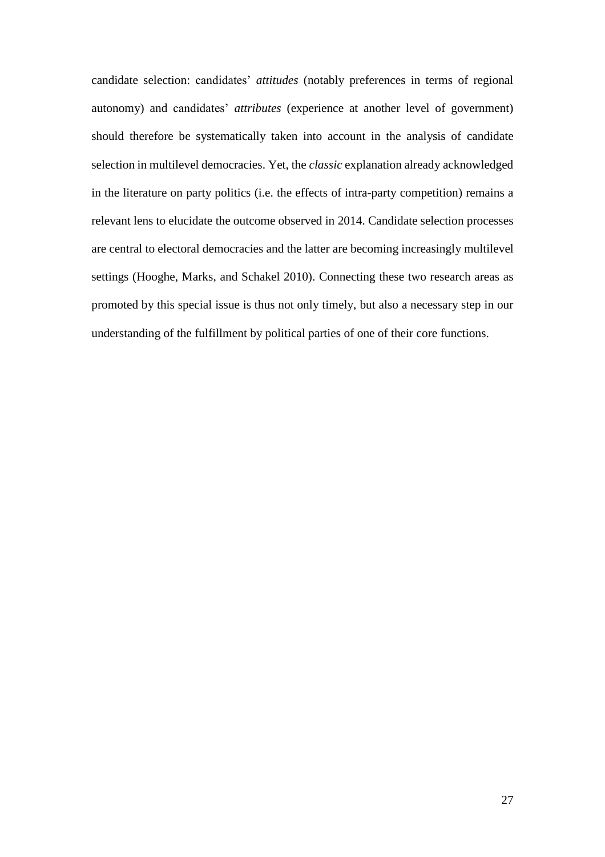candidate selection: candidates' *attitudes* (notably preferences in terms of regional autonomy) and candidates' *attributes* (experience at another level of government) should therefore be systematically taken into account in the analysis of candidate selection in multilevel democracies. Yet, the *classic* explanation already acknowledged in the literature on party politics (i.e. the effects of intra-party competition) remains a relevant lens to elucidate the outcome observed in 2014. Candidate selection processes are central to electoral democracies and the latter are becoming increasingly multilevel settings (Hooghe, Marks, and Schakel 2010). Connecting these two research areas as promoted by this special issue is thus not only timely, but also a necessary step in our understanding of the fulfillment by political parties of one of their core functions.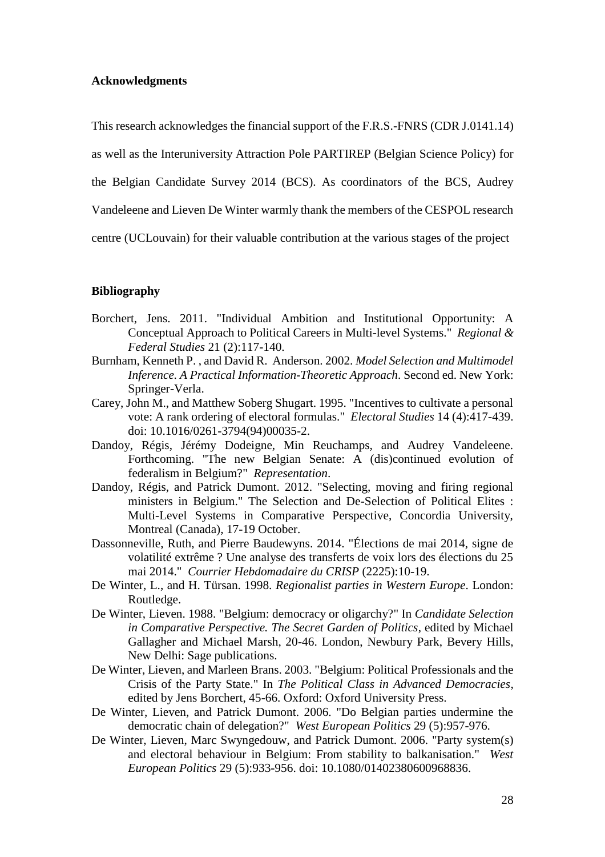#### **Acknowledgments**

This research acknowledges the financial support of the F.R.S.-FNRS (CDR J.0141.14)

as well as the Interuniversity Attraction Pole PARTIREP (Belgian Science Policy) for

the Belgian Candidate Survey 2014 (BCS). As coordinators of the BCS, Audrey

Vandeleene and Lieven De Winter warmly thank the members of the CESPOL research

centre (UCLouvain) for their valuable contribution at the various stages of the project

#### **Bibliography**

- Borchert, Jens. 2011. "Individual Ambition and Institutional Opportunity: A Conceptual Approach to Political Careers in Multi-level Systems." *Regional & Federal Studies* 21 (2):117-140.
- Burnham, Kenneth P. , and David R. Anderson. 2002. *Model Selection and Multimodel Inference. A Practical Information-Theoretic Approach*. Second ed. New York: Springer-Verla.
- Carey, John M., and Matthew Soberg Shugart. 1995. "Incentives to cultivate a personal vote: A rank ordering of electoral formulas." *Electoral Studies* 14 (4):417-439. doi: 10.1016/0261-3794(94)00035-2.
- Dandoy, Régis, Jérémy Dodeigne, Min Reuchamps, and Audrey Vandeleene. Forthcoming. "The new Belgian Senate: A (dis)continued evolution of federalism in Belgium?" *Representation*.
- Dandoy, Régis, and Patrick Dumont. 2012. "Selecting, moving and firing regional ministers in Belgium." The Selection and De-Selection of Political Elites : Multi-Level Systems in Comparative Perspective, Concordia University, Montreal (Canada), 17-19 October.
- Dassonneville, Ruth, and Pierre Baudewyns. 2014. "Élections de mai 2014, signe de volatilité extrême ? Une analyse des transferts de voix lors des élections du 25 mai 2014." *Courrier Hebdomadaire du CRISP* (2225):10-19.
- De Winter, L., and H. Türsan. 1998. *Regionalist parties in Western Europe*. London: Routledge.
- De Winter, Lieven. 1988. "Belgium: democracy or oligarchy?" In *Candidate Selection in Comparative Perspective. The Secret Garden of Politics*, edited by Michael Gallagher and Michael Marsh, 20-46. London, Newbury Park, Bevery Hills, New Delhi: Sage publications.
- De Winter, Lieven, and Marleen Brans. 2003. "Belgium: Political Professionals and the Crisis of the Party State." In *The Political Class in Advanced Democracies*, edited by Jens Borchert, 45-66. Oxford: Oxford University Press.
- De Winter, Lieven, and Patrick Dumont. 2006. "Do Belgian parties undermine the democratic chain of delegation?" *West European Politics* 29 (5):957-976.
- De Winter, Lieven, Marc Swyngedouw, and Patrick Dumont. 2006. "Party system(s) and electoral behaviour in Belgium: From stability to balkanisation." *West European Politics* 29 (5):933-956. doi: 10.1080/01402380600968836.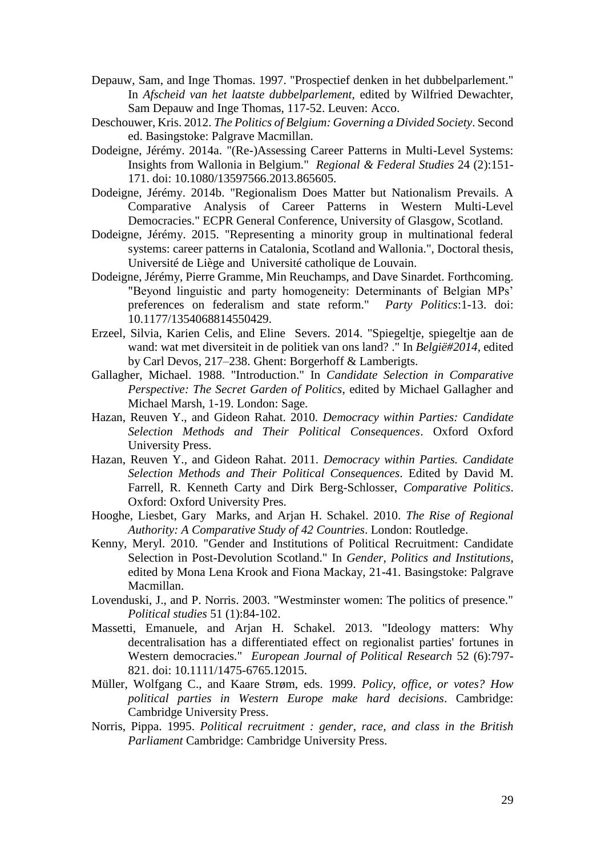- Depauw, Sam, and Inge Thomas. 1997. "Prospectief denken in het dubbelparlement." In *Afscheid van het laatste dubbelparlement*, edited by Wilfried Dewachter, Sam Depauw and Inge Thomas, 117-52. Leuven: Acco.
- Deschouwer, Kris. 2012. *The Politics of Belgium: Governing a Divided Society*. Second ed. Basingstoke: Palgrave Macmillan.
- Dodeigne, Jérémy. 2014a. "(Re-)Assessing Career Patterns in Multi-Level Systems: Insights from Wallonia in Belgium." *Regional & Federal Studies* 24 (2):151- 171. doi: 10.1080/13597566.2013.865605.
- Dodeigne, Jérémy. 2014b. "Regionalism Does Matter but Nationalism Prevails. A Comparative Analysis of Career Patterns in Western Multi-Level Democracies." ECPR General Conference, University of Glasgow, Scotland.
- Dodeigne, Jérémy. 2015. "Representing a minority group in multinational federal systems: career patterns in Catalonia, Scotland and Wallonia.", Doctoral thesis, Université de Liège and Université catholique de Louvain.
- Dodeigne, Jérémy, Pierre Gramme, Min Reuchamps, and Dave Sinardet. Forthcoming. "Beyond linguistic and party homogeneity: Determinants of Belgian MPs' preferences on federalism and state reform." *Party Politics*:1-13. doi: 10.1177/1354068814550429.
- Erzeel, Silvia, Karien Celis, and Eline Severs. 2014. "Spiegeltje, spiegeltje aan de wand: wat met diversiteit in de politiek van ons land? ." In *België#2014*, edited by Carl Devos, 217–238. Ghent: Borgerhoff & Lamberigts.
- Gallagher, Michael. 1988. "Introduction." In *Candidate Selection in Comparative Perspective: The Secret Garden of Politics*, edited by Michael Gallagher and Michael Marsh, 1-19. London: Sage.
- Hazan, Reuven Y., and Gideon Rahat. 2010. *Democracy within Parties: Candidate Selection Methods and Their Political Consequences*. Oxford Oxford University Press.
- Hazan, Reuven Y., and Gideon Rahat. 2011. *Democracy within Parties. Candidate Selection Methods and Their Political Consequences*. Edited by David M. Farrell, R. Kenneth Carty and Dirk Berg-Schlosser, *Comparative Politics*. Oxford: Oxford University Pres.
- Hooghe, Liesbet, Gary Marks, and Arjan H. Schakel. 2010. *The Rise of Regional Authority: A Comparative Study of 42 Countries*. London: Routledge.
- Kenny, Meryl. 2010. "Gender and Institutions of Political Recruitment: Candidate Selection in Post-Devolution Scotland." In *Gender, Politics and Institutions*, edited by Mona Lena Krook and Fiona Mackay, 21-41. Basingstoke: Palgrave Macmillan.
- Lovenduski, J., and P. Norris. 2003. "Westminster women: The politics of presence." *Political studies* 51 (1):84-102.
- Massetti, Emanuele, and Arjan H. Schakel. 2013. "Ideology matters: Why decentralisation has a differentiated effect on regionalist parties' fortunes in Western democracies." *European Journal of Political Research* 52 (6):797- 821. doi: 10.1111/1475-6765.12015.
- Müller, Wolfgang C., and Kaare Strøm, eds. 1999. *Policy, office, or votes? How political parties in Western Europe make hard decisions*. Cambridge: Cambridge University Press.
- Norris, Pippa. 1995. *Political recruitment : gender, race, and class in the British Parliament* Cambridge: Cambridge University Press.